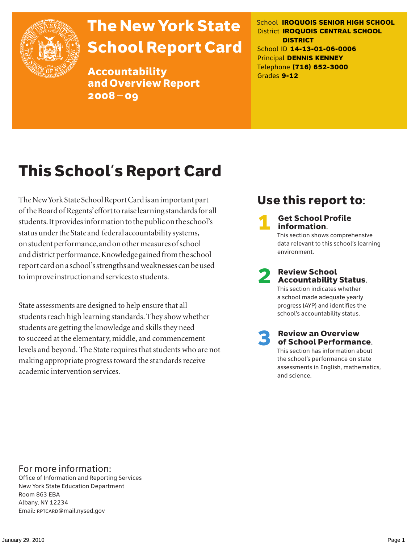

# The New York State School Report Card

Accountability and Overview Report 2008–09

School **IROQUOIS SENIOR HIGH SCHOOL** District **IROQUOIS CENTRAL SCHOOL DISTRICT** School ID **14-13-01-06-0006** Principal **DENNIS KENNEY** Telephone **(716) 652-3000** Grades **9-12**

# This School's Report Card

The New York State School Report Card is an important part of the Board of Regents' effort to raise learning standards for all students. It provides information to the public on the school's status under the State and federal accountability systems, on student performance, and on other measures of school and district performance. Knowledge gained from the school report card on a school's strengths and weaknesses can be used to improve instruction and services to students.

State assessments are designed to help ensure that all students reach high learning standards. They show whether students are getting the knowledge and skills they need to succeed at the elementary, middle, and commencement levels and beyond. The State requires that students who are not making appropriate progress toward the standards receive academic intervention services.

### Use this report to:

**Get School Profile** information. This section shows comprehensive data relevant to this school's learning environment.

# 2 Review School Accountability Status.

This section indicates whether a school made adequate yearly progress (AYP) and identifies the school's accountability status.

3 Review an Overview of School Performance. This section has information about

the school's performance on state assessments in English, mathematics, and science.

### For more information:

Office of Information and Reporting Services New York State Education Department Room 863 EBA Albany, NY 12234 Email: RPTCARD@mail.nysed.gov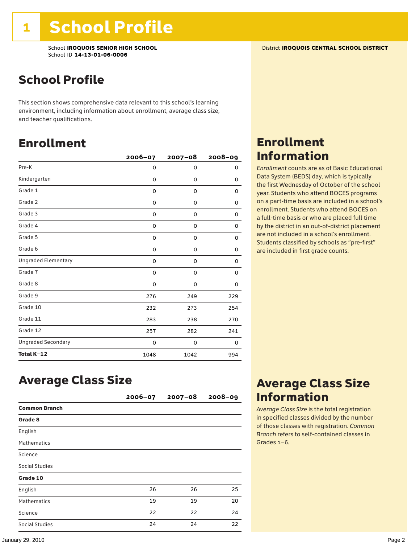School **IROQUOIS SENIOR HIGH SCHOOL** District **IROQUOIS CENTRAL SCHOOL DISTRICT** School ID **14-13-01-06-0006**

### School Profile

This section shows comprehensive data relevant to this school's learning environment, including information about enrollment, average class size, and teacher qualifications.

### Enrollment

|                            | $2006 - 07$ | $2007 - 08$ | $2008 - 09$ |
|----------------------------|-------------|-------------|-------------|
| Pre-K                      | 0           | 0           | 0           |
| Kindergarten               | 0           | $\mathbf 0$ | 0           |
| Grade 1                    | 0           | 0           | 0           |
| Grade 2                    | 0           | 0           | 0           |
| Grade 3                    | 0           | 0           | 0           |
| Grade 4                    | 0           | 0           | 0           |
| Grade 5                    | 0           | 0           | 0           |
| Grade 6                    | 0           | 0           | 0           |
| <b>Ungraded Elementary</b> | 0           | 0           | 0           |
| Grade 7                    | 0           | 0           | 0           |
| Grade 8                    | 0           | 0           | 0           |
| Grade 9                    | 276         | 249         | 229         |
| Grade 10                   | 232         | 273         | 254         |
| Grade 11                   | 283         | 238         | 270         |
| Grade 12                   | 257         | 282         | 241         |
| <b>Ungraded Secondary</b>  | 0           | 0           | 0           |
| Total K-12                 | 1048        | 1042        | 994         |

### Enrollment Information

*Enrollment* counts are as of Basic Educational Data System (BEDS) day, which is typically the first Wednesday of October of the school year. Students who attend BOCES programs on a part-time basis are included in a school's enrollment. Students who attend BOCES on a full-time basis or who are placed full time by the district in an out-of-district placement are not included in a school's enrollment. Students classified by schools as "pre-first" are included in first grade counts.

### Average Class Size

|                       | $2006 - 07$ | $2007 - 08$ | $2008 - 09$ |
|-----------------------|-------------|-------------|-------------|
| <b>Common Branch</b>  |             |             |             |
| Grade 8               |             |             |             |
| English               |             |             |             |
| <b>Mathematics</b>    |             |             |             |
| Science               |             |             |             |
| Social Studies        |             |             |             |
| Grade 10              |             |             |             |
| English               | 26          | 26          | 25          |
| <b>Mathematics</b>    | 19          | 19          | 20          |
| Science               | 22          | 22          | 24          |
| <b>Social Studies</b> | 24          | 24          | 22          |

### Average Class Size Information

*Average Class Size* is the total registration in specified classes divided by the number of those classes with registration. *Common Branch* refers to self-contained classes in Grades 1–6.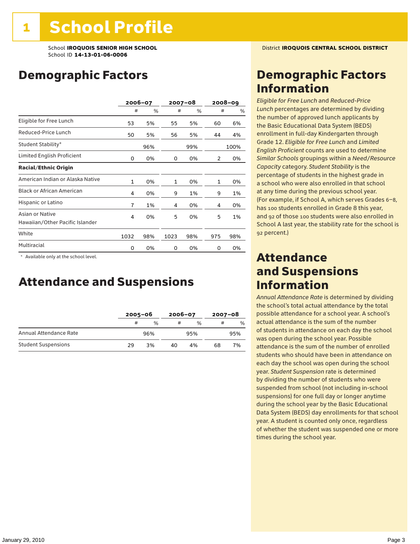### Demographic Factors

|                                                    |                | 2006-07 |              | $2007 - 08$ |     | 2008–09 |
|----------------------------------------------------|----------------|---------|--------------|-------------|-----|---------|
|                                                    | #              | %       | #            | %           | #   | %       |
| Eligible for Free Lunch                            | 53             | 5%      | 55           | 5%          | 60  | 6%      |
| Reduced-Price Lunch                                | 50             | 5%      | 56           | 5%          | 44  | 4%      |
| Student Stability*                                 |                | 96%     |              | 99%         |     | 100%    |
| Limited English Proficient                         | 0              | 0%      | 0            | 0%          | 2   | 0%      |
| <b>Racial/Ethnic Origin</b>                        |                |         |              |             |     |         |
| American Indian or Alaska Native                   | $\mathbf{1}$   | 0%      | $\mathbf{1}$ | 0%          | 1   | 0%      |
| <b>Black or African American</b>                   | 4              | 0%      | 9            | 1%          | 9   | 1%      |
| Hispanic or Latino                                 | $\overline{7}$ | 1%      | 4            | 0%          | 4   | 0%      |
| Asian or Native<br>Hawaiian/Other Pacific Islander | 4              | 0%      | 5            | 0%          | 5   | 1%      |
| White                                              | 1032           | 98%     | 1023         | 98%         | 975 | 98%     |
| Multiracial                                        | 0              | 0%      | 0            | 0%          | 0   | 0%      |

\* Available only at the school level.

### Attendance and Suspensions

|                            |    | $2005 - 06$   |    | $2006 - 07$   |    | $2007 - 08$   |  |
|----------------------------|----|---------------|----|---------------|----|---------------|--|
|                            | #  | $\frac{0}{6}$ | #  | $\frac{0}{6}$ | #  | $\frac{0}{0}$ |  |
| Annual Attendance Rate     |    | 96%           |    | 95%           |    | 95%           |  |
| <b>Student Suspensions</b> | 29 | 3%            | 40 | 4%            | 68 | 7%            |  |

### Demographic Factors Information

*Eligible for Free Lunch* and *Reduced*-*Price Lunch* percentages are determined by dividing the number of approved lunch applicants by the Basic Educational Data System (BEDS) enrollment in full-day Kindergarten through Grade 12. *Eligible for Free Lunch* and *Limited English Proficient* counts are used to determine *Similar Schools* groupings within a *Need*/*Resource Capacity* category. *Student Stability* is the percentage of students in the highest grade in a school who were also enrolled in that school at any time during the previous school year. (For example, if School A, which serves Grades 6–8, has 100 students enrolled in Grade 8 this year, and 92 of those 100 students were also enrolled in School A last year, the stability rate for the school is 92 percent.)

### Attendance and Suspensions Information

*Annual Attendance Rate* is determined by dividing the school's total actual attendance by the total possible attendance for a school year. A school's actual attendance is the sum of the number of students in attendance on each day the school was open during the school year. Possible attendance is the sum of the number of enrolled students who should have been in attendance on each day the school was open during the school year. *Student Suspension* rate is determined by dividing the number of students who were suspended from school (not including in-school suspensions) for one full day or longer anytime during the school year by the Basic Educational Data System (BEDS) day enrollments for that school year. A student is counted only once, regardless of whether the student was suspended one or more times during the school year.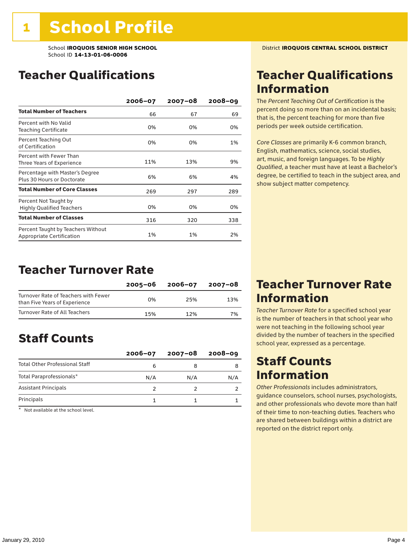### Teacher Qualifications

|                                                                 | $2006 - 07$ | $2007 - 08$ | $2008 - 09$ |
|-----------------------------------------------------------------|-------------|-------------|-------------|
| <b>Total Number of Teachers</b>                                 | 66          | 67          | 69          |
| Percent with No Valid<br>Teaching Certificate                   | 0%          | 0%          | 0%          |
| Percent Teaching Out<br>of Certification                        | 0%          | 0%          | 1%          |
| Percent with Fewer Than<br>Three Years of Experience            | 11%         | 13%         | 9%          |
| Percentage with Master's Degree<br>Plus 30 Hours or Doctorate   | 6%          | 6%          | 4%          |
| <b>Total Number of Core Classes</b>                             | 269         | 297         | 289         |
| Percent Not Taught by<br><b>Highly Qualified Teachers</b>       | 0%          | 0%          | 0%          |
| <b>Total Number of Classes</b>                                  | 316         | 320         | 338         |
| Percent Taught by Teachers Without<br>Appropriate Certification | 1%          | 1%          | 2%          |

### Teacher Turnover Rate

|                                                                       | 2005-06 | 2006-07 | 2007-08 |
|-----------------------------------------------------------------------|---------|---------|---------|
| Turnover Rate of Teachers with Fewer<br>than Five Years of Experience | በ%      | 25%     | 13%     |
| Turnover Rate of All Teachers                                         | 15%     | 12%     | 7%      |

### Staff Counts

|                                       | $2006 - 07$ | $2007 - 08$ | $2008 - 09$ |
|---------------------------------------|-------------|-------------|-------------|
| <b>Total Other Professional Staff</b> | 6           |             |             |
| Total Paraprofessionals*              | N/A         | N/A         | N/A         |
| <b>Assistant Principals</b>           |             |             |             |
| Principals                            |             |             |             |

\* Not available at the school level.

### Teacher Qualifications Information

The *Percent Teaching Out of Certification* is the percent doing so more than on an incidental basis; that is, the percent teaching for more than five periods per week outside certification.

*Core Classes* are primarily K-6 common branch, English, mathematics, science, social studies, art, music, and foreign languages. To be *Highly Qualified*, a teacher must have at least a Bachelor's degree, be certified to teach in the subject area, and show subject matter competency.

### Teacher Turnover Rate Information

*Teacher Turnover Rate* for a specified school year is the number of teachers in that school year who were not teaching in the following school year divided by the number of teachers in the specified school year, expressed as a percentage.

### Staff Counts **Information**

*Other Professionals* includes administrators, guidance counselors, school nurses, psychologists, and other professionals who devote more than half of their time to non-teaching duties. Teachers who are shared between buildings within a district are reported on the district report only.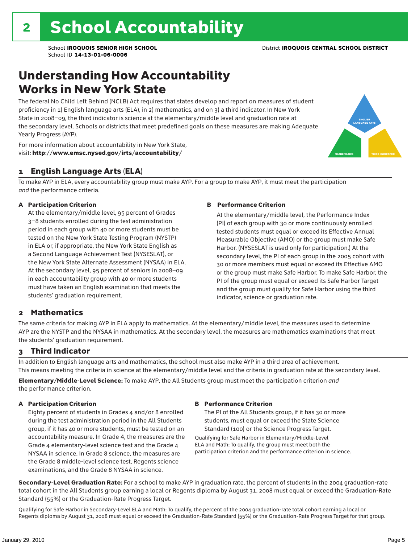### Understanding How Accountability Works in New York State

The federal No Child Left Behind (NCLB) Act requires that states develop and report on measures of student proficiency in 1) English language arts (ELA), in 2) mathematics, and on 3) a third indicator. In New York State in 2008–09, the third indicator is science at the elementary/middle level and graduation rate at the secondary level. Schools or districts that meet predefined goals on these measures are making Adequate Yearly Progress (AYP).



For more information about accountability in New York State, visit: http://www.emsc.nysed.gov/irts/accountability/

#### 1 English Language Arts (ELA)

To make AYP in ELA, every accountability group must make AYP. For a group to make AYP, it must meet the participation *and* the performance criteria.

#### A Participation Criterion

At the elementary/middle level, 95 percent of Grades 3–8 students enrolled during the test administration period in each group with 40 or more students must be tested on the New York State Testing Program (NYSTP) in ELA or, if appropriate, the New York State English as a Second Language Achievement Test (NYSESLAT), or the New York State Alternate Assessment (NYSAA) in ELA. At the secondary level, 95 percent of seniors in 2008–09 in each accountability group with 40 or more students must have taken an English examination that meets the students' graduation requirement.

#### B Performance Criterion

At the elementary/middle level, the Performance Index (PI) of each group with 30 or more continuously enrolled tested students must equal or exceed its Effective Annual Measurable Objective (AMO) or the group must make Safe Harbor. (NYSESLAT is used only for participation.) At the secondary level, the PI of each group in the 2005 cohort with 30 or more members must equal or exceed its Effective AMO or the group must make Safe Harbor. To make Safe Harbor, the PI of the group must equal or exceed its Safe Harbor Target and the group must qualify for Safe Harbor using the third indicator, science or graduation rate.

#### 2 Mathematics

The same criteria for making AYP in ELA apply to mathematics. At the elementary/middle level, the measures used to determine AYP are the NYSTP and the NYSAA in mathematics. At the secondary level, the measures are mathematics examinations that meet the students' graduation requirement.

#### 3 Third Indicator

In addition to English language arts and mathematics, the school must also make AYP in a third area of achievement. This means meeting the criteria in science at the elementary/middle level and the criteria in graduation rate at the secondary level.

Elementary/Middle-Level Science: To make AYP, the All Students group must meet the participation criterion *and* the performance criterion.

#### A Participation Criterion

Eighty percent of students in Grades 4 and/or 8 enrolled during the test administration period in the All Students group, if it has 40 or more students, must be tested on an accountability measure. In Grade 4, the measures are the Grade 4 elementary-level science test and the Grade 4 NYSAA in science. In Grade 8 science, the measures are the Grade 8 middle-level science test, Regents science examinations, and the Grade 8 NYSAA in science.

#### B Performance Criterion

The PI of the All Students group, if it has 30 or more students, must equal or exceed the State Science Standard (100) or the Science Progress Target.

Qualifying for Safe Harbor in Elementary/Middle-Level ELA and Math: To qualify, the group must meet both the participation criterion and the performance criterion in science.

Secondary-Level Graduation Rate: For a school to make AYP in graduation rate, the percent of students in the 2004 graduation-rate total cohort in the All Students group earning a local or Regents diploma by August 31, 2008 must equal or exceed the Graduation-Rate Standard (55%) or the Graduation-Rate Progress Target.

Qualifying for Safe Harbor in Secondary-Level ELA and Math: To qualify, the percent of the 2004 graduation-rate total cohort earning a local or Regents diploma by August 31, 2008 must equal or exceed the Graduation-Rate Standard (55%) or the Graduation-Rate Progress Target for that group.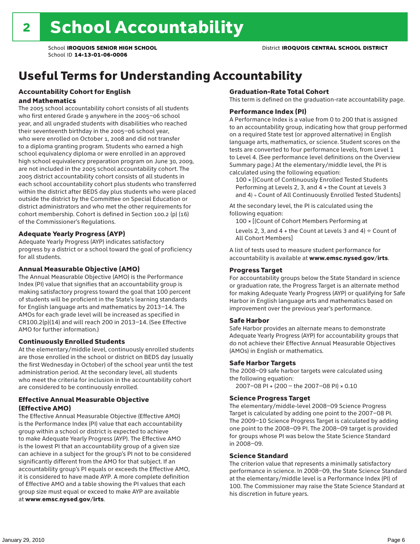### Useful Terms for Understanding Accountability

#### Accountability Cohort for English and Mathematics

The 2005 school accountability cohort consists of all students who first entered Grade 9 anywhere in the 2005–06 school year, and all ungraded students with disabilities who reached their seventeenth birthday in the 2005–06 school year, who were enrolled on October 1, 2008 and did not transfer to a diploma granting program. Students who earned a high school equivalency diploma or were enrolled in an approved high school equivalency preparation program on June 30, 2009, are not included in the 2005 school accountability cohort. The 2005 district accountability cohort consists of all students in each school accountability cohort plus students who transferred within the district after BEDS day plus students who were placed outside the district by the Committee on Special Education or district administrators and who met the other requirements for cohort membership. Cohort is defined in Section 100.2 (p) (16) of the Commissioner's Regulations.

#### Adequate Yearly Progress (AYP)

Adequate Yearly Progress (AYP) indicates satisfactory progress by a district or a school toward the goal of proficiency for all students.

#### Annual Measurable Objective (AMO)

The Annual Measurable Objective (AMO) is the Performance Index (PI) value that signifies that an accountability group is making satisfactory progress toward the goal that 100 percent of students will be proficient in the State's learning standards for English language arts and mathematics by 2013–14. The AMOs for each grade level will be increased as specified in CR100.2(p)(14) and will reach 200 in 2013–14. (See Effective AMO for further information.)

#### Continuously Enrolled Students

At the elementary/middle level, continuously enrolled students are those enrolled in the school or district on BEDS day (usually the first Wednesday in October) of the school year until the test administration period. At the secondary level, all students who meet the criteria for inclusion in the accountability cohort are considered to be continuously enrolled.

#### Effective Annual Measurable Objective (Effective AMO)

The Effective Annual Measurable Objective (Effective AMO) is the Performance Index (PI) value that each accountability group within a school or district is expected to achieve to make Adequate Yearly Progress (AYP). The Effective AMO is the lowest PI that an accountability group of a given size can achieve in a subject for the group's PI not to be considered significantly different from the AMO for that subject. If an accountability group's PI equals or exceeds the Effective AMO, it is considered to have made AYP. A more complete definition of Effective AMO and a table showing the PI values that each group size must equal or exceed to make AYP are available at www.emsc.nysed.gov/irts.

#### Graduation-Rate Total Cohort

This term is defined on the graduation-rate accountability page.

#### Performance Index (PI)

A Performance Index is a value from 0 to 200 that is assigned to an accountability group, indicating how that group performed on a required State test (or approved alternative) in English language arts, mathematics, or science. Student scores on the tests are converted to four performance levels, from Level 1 to Level 4. (See performance level definitions on the Overview Summary page.) At the elementary/middle level, the PI is calculated using the following equation:

100 × [(Count of Continuously Enrolled Tested Students Performing at Levels 2, 3, and 4 + the Count at Levels 3 and 4) ÷ Count of All Continuously Enrolled Tested Students]

At the secondary level, the PI is calculated using the following equation:

100 × [(Count of Cohort Members Performing at

Levels 2, 3, and 4 + the Count at Levels 3 and 4)  $\div$  Count of All Cohort Members]

A list of tests used to measure student performance for accountability is available at www.emsc.nysed.gov/irts.

#### Progress Target

For accountability groups below the State Standard in science or graduation rate, the Progress Target is an alternate method for making Adequate Yearly Progress (AYP) or qualifying for Safe Harbor in English language arts and mathematics based on improvement over the previous year's performance.

#### Safe Harbor

Safe Harbor provides an alternate means to demonstrate Adequate Yearly Progress (AYP) for accountability groups that do not achieve their Effective Annual Measurable Objectives (AMOs) in English or mathematics.

#### Safe Harbor Targets

The 2008–09 safe harbor targets were calculated using the following equation:

2007–08 PI + (200 – the 2007–08 PI) × 0.10

#### Science Progress Target

The elementary/middle-level 2008–09 Science Progress Target is calculated by adding one point to the 2007–08 PI. The 2009–10 Science Progress Target is calculated by adding one point to the 2008–09 PI. The 2008–09 target is provided for groups whose PI was below the State Science Standard in 2008–09.

#### Science Standard

The criterion value that represents a minimally satisfactory performance in science. In 2008–09, the State Science Standard at the elementary/middle level is a Performance Index (PI) of 100. The Commissioner may raise the State Science Standard at his discretion in future years.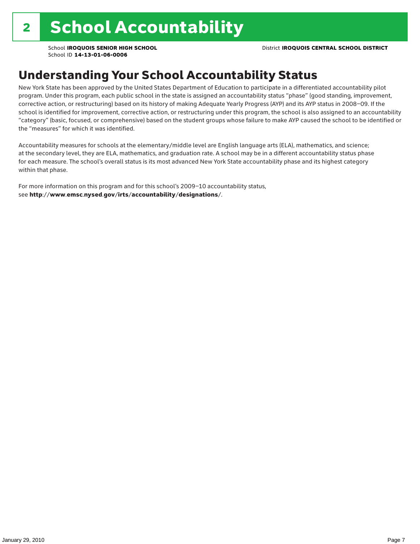### Understanding Your School Accountability Status

New York State has been approved by the United States Department of Education to participate in a differentiated accountability pilot program. Under this program, each public school in the state is assigned an accountability status "phase" (good standing, improvement, corrective action, or restructuring) based on its history of making Adequate Yearly Progress (AYP) and its AYP status in 2008–09. If the school is identified for improvement, corrective action, or restructuring under this program, the school is also assigned to an accountability "category" (basic, focused, or comprehensive) based on the student groups whose failure to make AYP caused the school to be identified or the "measures" for which it was identified.

Accountability measures for schools at the elementary/middle level are English language arts (ELA), mathematics, and science; at the secondary level, they are ELA, mathematics, and graduation rate. A school may be in a different accountability status phase for each measure. The school's overall status is its most advanced New York State accountability phase and its highest category within that phase.

For more information on this program and for this school's 2009–10 accountability status, see http://www.emsc.nysed.gov/irts/accountability/designations/.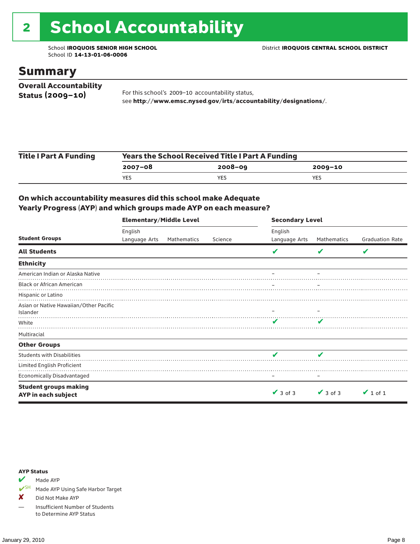# 2 School Accountability

School ID **14-13-01-06-0006**

### Summary

| <b>Overall Accountability</b> |                                                                  |
|-------------------------------|------------------------------------------------------------------|
| Status $(2009 - 10)$          | For this school's 2009-10 accountability status,                 |
|                               | see http://www.emsc.nysed.gov/irts/accountability/designations/. |

| <b>Title I Part A Funding</b> | <b>Years the School Received Title I Part A Funding</b> |             |         |  |  |  |
|-------------------------------|---------------------------------------------------------|-------------|---------|--|--|--|
|                               | 2007-08                                                 | $2008 - 09$ | 2009-10 |  |  |  |
|                               | <b>YES</b>                                              | YES.        | YES     |  |  |  |

#### On which accountability measures did this school make Adequate Yearly Progress (AYP) and which groups made AYP on each measure?

|                                        | <b>Elementary/Middle Level</b> |             |         | <b>Secondary Level</b> |               |                        |  |
|----------------------------------------|--------------------------------|-------------|---------|------------------------|---------------|------------------------|--|
|                                        | English                        |             |         | English                |               |                        |  |
| <b>Student Groups</b>                  | Language Arts                  | Mathematics | Science | Language Arts          | Mathematics   | <b>Graduation Rate</b> |  |
| <b>All Students</b>                    |                                |             |         | v                      | V             | V                      |  |
| <b>Ethnicity</b>                       |                                |             |         |                        |               |                        |  |
| American Indian or Alaska Native       |                                |             |         |                        |               |                        |  |
| <b>Black or African American</b>       |                                |             |         |                        |               |                        |  |
| Hispanic or Latino                     |                                |             |         |                        |               |                        |  |
| Asian or Native Hawaiian/Other Pacific |                                |             |         |                        |               |                        |  |
| Islander                               |                                |             |         |                        |               |                        |  |
| White                                  |                                |             |         |                        |               |                        |  |
| Multiracial                            |                                |             |         |                        |               |                        |  |
| <b>Other Groups</b>                    |                                |             |         |                        |               |                        |  |
| <b>Students with Disabilities</b>      |                                |             |         | v                      |               |                        |  |
| Limited English Proficient             |                                |             |         |                        |               |                        |  |
| <b>Economically Disadvantaged</b>      |                                |             |         |                        |               |                        |  |
| <b>Student groups making</b>           |                                |             |         |                        |               |                        |  |
| AYP in each subject                    |                                |             |         | $\vee$ 3 of 3          | $\vee$ 3 of 3 | $\vee$ 1 of 1          |  |

#### AYP Status

Made AYP

✔SH Made AYP Using Safe Harbor Target

✘ Did Not Make AYP

— Insufficient Number of Students to Determine AYP Status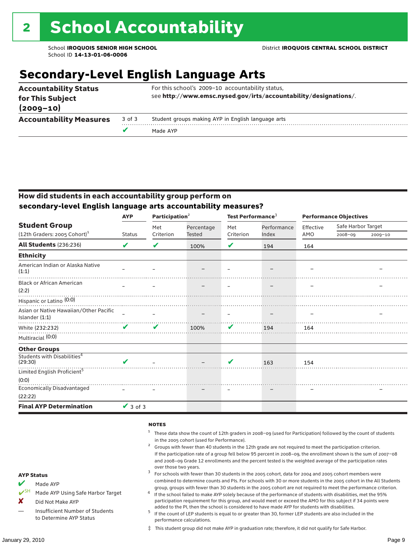### **Secondary-Level English Language Arts**

| <b>Accountability Status</b><br>for This Subject |        | For this school's 2009-10 accountability status,<br>see http://www.emsc.nysed.gov/irts/accountability/designations/. |  |  |
|--------------------------------------------------|--------|----------------------------------------------------------------------------------------------------------------------|--|--|
| $(2009 - 10)$                                    |        |                                                                                                                      |  |  |
| <b>Accountability Measures</b>                   | 3 of 3 | Student groups making AYP in English language arts                                                                   |  |  |
|                                                  | v      | Made AYP                                                                                                             |  |  |

#### How did students in each accountability group perform on **secondary-level English language arts accountability measures?**

|                                                          | <b>AYP</b>    | Participation <sup>2</sup> |            | Test Performance <sup>3</sup> |             | <b>Performance Objectives</b> |                    |             |
|----------------------------------------------------------|---------------|----------------------------|------------|-------------------------------|-------------|-------------------------------|--------------------|-------------|
| <b>Student Group</b>                                     |               | Met                        | Percentage | Met                           | Performance | Effective                     | Safe Harbor Target |             |
| (12th Graders: 2005 Cohort) <sup>1</sup>                 | <b>Status</b> | Criterion                  | Tested     | Criterion                     | Index       | AMO                           | $2008 - 09$        | $2009 - 10$ |
| All Students (236:236)                                   | V             | V                          | 100%       | V                             | 194         | 164                           |                    |             |
| <b>Ethnicity</b>                                         |               |                            |            |                               |             |                               |                    |             |
| American Indian or Alaska Native<br>(1:1)                |               |                            |            |                               |             |                               |                    |             |
| <b>Black or African American</b><br>(2:2)                |               |                            |            |                               |             |                               |                    |             |
| Hispanic or Latino <sup>(0:0)</sup>                      |               |                            |            |                               |             |                               |                    |             |
| Asian or Native Hawaiian/Other Pacific<br>Islander (1:1) |               |                            |            |                               |             |                               |                    |             |
| White (232:232)                                          |               | ✔                          | 100%       | ✔                             | 194         | 164                           |                    |             |
| Multiracial (0:0)                                        |               |                            |            |                               |             |                               |                    |             |
| <b>Other Groups</b>                                      |               |                            |            |                               |             |                               |                    |             |
| Students with Disabilities <sup>4</sup><br>(29:30)       | ✔             |                            |            | V                             | 163         | 154                           |                    |             |
| Limited English Proficient <sup>5</sup>                  |               |                            |            |                               |             |                               |                    |             |
| (0:0)                                                    |               |                            |            |                               |             |                               |                    |             |
| Economically Disadvantaged                               |               |                            |            |                               |             |                               |                    |             |
| (22:22)                                                  |               |                            |            |                               |             |                               |                    |             |
| <b>Final AYP Determination</b>                           | $\vee$ 3 of 3 |                            |            |                               |             |                               |                    |             |

#### **NOTES**

- <sup>1</sup> These data show the count of 12th graders in 2008–09 (used for Participation) followed by the count of students
- in the 2005 cohort (used for Performance).<br>Groups with fewer than 40 students in the 12th grade are not required to meet the participation criterion. If the participation rate of a group fell below 95 percent in 2008–09, the enrollment shown is the sum of 2007–08 and 2008–09 Grade 12 enrollments and the percent tested is the weighted average of the participation rates
- over those two years.  $^3$  For schools with fewer than 30 students in the 2005 cohort, data for 2004 and 2005 cohort members were combined to determine counts and PIs. For schools with 30 or more students in the 2005 cohort in the All Students
- group, groups with fewer than 30 students in the 2005 cohort are not required to meet the performance criterion. <sup>4</sup> If the school failed to make AYP solely because of the performance of students with disabilities, met the 95% participation requirement for this group, and would meet or exceed the AMO for this subject if 34 points were
- added to the PI, then the school is considered to have made AYP for students with disabilities.<br> $^5$  If the count of LEP students is equal to or greater than 30, former LEP students are also included in the performance calculations.
- ‡ This student group did not make AYP in graduation rate; therefore, it did not qualify for Safe Harbor.

Made AYP

Made AYP Using Safe Harbor Target

X Did Not Make AYP

Insufficient Number of Students to Determine AYP Status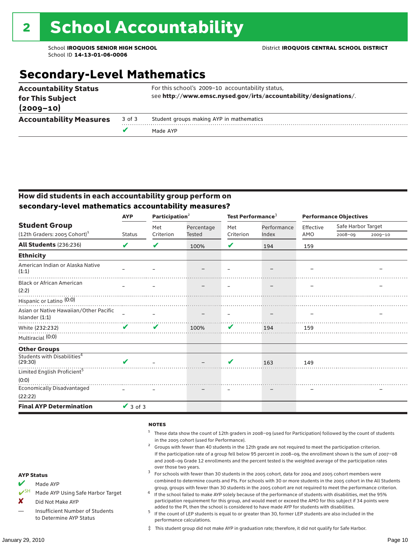### **Secondary-Level Mathematics**

| <b>Accountability Status</b><br>for This Subject<br>$(2009 - 10)$ |        | For this school's 2009-10 accountability status,<br>see http://www.emsc.nysed.gov/irts/accountability/designations/. |
|-------------------------------------------------------------------|--------|----------------------------------------------------------------------------------------------------------------------|
| <b>Accountability Measures</b>                                    | 3 of 3 | Student groups making AYP in mathematics                                                                             |
|                                                                   |        | Made AYP                                                                                                             |

#### How did students in each accountability group perform on **secondary-level mathematics accountability measures?**

|                                                          | <b>AYP</b>    | Participation <sup>2</sup> |               | Test Performance <sup>3</sup> |             | <b>Performance Objectives</b> |                    |         |
|----------------------------------------------------------|---------------|----------------------------|---------------|-------------------------------|-------------|-------------------------------|--------------------|---------|
| <b>Student Group</b>                                     |               | Met                        | Percentage    | Met                           | Performance | Effective                     | Safe Harbor Target |         |
| (12th Graders: 2005 Cohort) <sup>1</sup>                 | <b>Status</b> | Criterion                  | <b>Tested</b> | Criterion                     | Index       | AMO                           | $2008 - 09$        | 2009-10 |
| <b>All Students (236:236)</b>                            | V             | V                          | 100%          | V                             | 194         | 159                           |                    |         |
| <b>Ethnicity</b>                                         |               |                            |               |                               |             |                               |                    |         |
| American Indian or Alaska Native<br>(1:1)                |               |                            |               |                               |             |                               |                    |         |
| <b>Black or African American</b><br>(2:2)                |               |                            |               |                               |             |                               |                    |         |
| Hispanic or Latino <sup>(0:0)</sup>                      |               |                            |               |                               |             |                               |                    |         |
| Asian or Native Hawaiian/Other Pacific<br>Islander (1:1) |               |                            |               |                               |             |                               |                    |         |
| White (232:232)                                          |               | ✔                          | 100%          | V                             | 194         | 159                           |                    |         |
| Multiracial (0:0)                                        |               |                            |               |                               |             |                               |                    |         |
| <b>Other Groups</b>                                      |               |                            |               |                               |             |                               |                    |         |
| Students with Disabilities <sup>4</sup><br>(29:30)       | V             |                            |               | V                             | 163         | 149                           |                    |         |
| Limited English Proficient <sup>5</sup>                  |               |                            |               |                               |             |                               |                    |         |
| (0:0)                                                    |               |                            |               |                               |             |                               |                    |         |
| <b>Economically Disadvantaged</b>                        |               |                            |               |                               |             |                               |                    |         |
| (22:22)                                                  |               |                            |               |                               |             |                               |                    |         |
| <b>Final AYP Determination</b>                           | $\vee$ 3 of 3 |                            |               |                               |             |                               |                    |         |

#### **NOTES**

- <sup>1</sup> These data show the count of 12th graders in 2008–09 (used for Participation) followed by the count of students in the 2005 cohort (used for Performance).<br>Groups with fewer than 40 students in the 12th grade are not required to meet the participation criterion.
- If the participation rate of a group fell below 95 percent in 2008–09, the enrollment shown is the sum of 2007–08 and 2008–09 Grade 12 enrollments and the percent tested is the weighted average of the participation rates
- over those two years.  $^3$  For schools with fewer than 30 students in the 2005 cohort, data for 2004 and 2005 cohort members were combined to determine counts and PIs. For schools with 30 or more students in the 2005 cohort in the All Students
- group, groups with fewer than 30 students in the 2005 cohort are not required to meet the performance criterion. <sup>4</sup> If the school failed to make AYP solely because of the performance of students with disabilities, met the 95% participation requirement for this group, and would meet or exceed the AMO for this subject if 34 points were
- added to the PI, then the school is considered to have made AYP for students with disabilities.<br><sup>5</sup> If the count of LEP students is equal to or greater than 30, former LEP students are also included in the performance calculations.
- ‡ This student group did not make AYP in graduation rate; therefore, it did not qualify for Safe Harbor.

Made AYP

<del></del> I<sup>SH</sup> Made AYP Using Safe Harbor Target

X Did Not Make AYP

Insufficient Number of Students to Determine AYP Status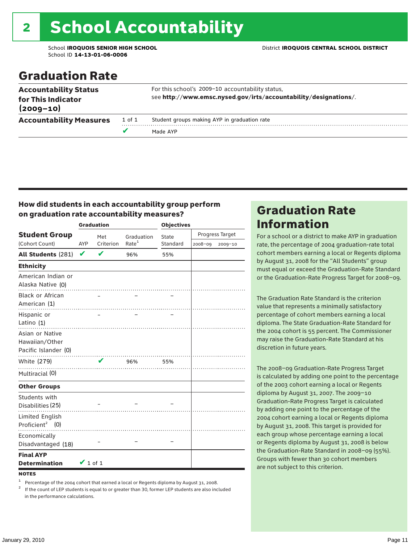# 2 School Accountability

School ID **14-13-01-06-0006**

School **IROQUOIS SENIOR HIGH SCHOOL** District **IROQUOIS CENTRAL SCHOOL DISTRICT**

### Graduation Rate

| see http://www.emsc.nysed.gov/irts/accountability/designations/.<br>for This Indicator<br>$(2009 - 10)$<br>Student groups making AYP in graduation rate<br><b>Accountability Measures</b><br>1 of 1 |  | Made AYP |
|-----------------------------------------------------------------------------------------------------------------------------------------------------------------------------------------------------|--|----------|
|                                                                                                                                                                                                     |  |          |
| For this school's 2009-10 accountability status,<br><b>Accountability Status</b>                                                                                                                    |  |          |

#### How did students in each accountability group perform on graduation rate accountability measures?

|                                                           |               | <b>Graduation</b>          |                   | <b>Objectives</b> |         |                 |
|-----------------------------------------------------------|---------------|----------------------------|-------------------|-------------------|---------|-----------------|
| <b>Student Group</b>                                      |               | Met                        | Graduation        | State             |         | Progress Target |
| (Cohort Count)                                            | AYP           | Criterion                  | Rate <sup>1</sup> | Standard          | 2008-09 | 2009-10         |
| <b>All Students (281)</b>                                 | V             | $\mathbf v$                | 96%               | 55%               |         |                 |
| <b>Ethnicity</b>                                          |               |                            |                   |                   |         |                 |
| American Indian or<br>Alaska Native (0)                   |               |                            | . <b>.</b> .      |                   |         |                 |
| Black or African<br>American (1)                          |               |                            |                   |                   |         |                 |
| Hispanic or<br>Latino (1)                                 |               |                            |                   |                   |         |                 |
| Asian or Native<br>Hawaiian/Other<br>Pacific Islander (0) |               |                            |                   |                   |         |                 |
| White (279)                                               |               | $\boldsymbol{\mathcal{L}}$ | 96%               | 55%               |         |                 |
| Multiracial (0)                                           |               |                            |                   |                   |         |                 |
| <b>Other Groups</b>                                       |               |                            |                   |                   |         |                 |
| Students with<br>Disabilities (25)                        |               |                            |                   |                   |         |                 |
| Limited English<br>Proficient <sup>2</sup> (0)            |               |                            |                   |                   |         |                 |
| Economically<br>Disadvantaged (18)                        |               |                            |                   |                   |         |                 |
| <b>Final AYP</b><br><b>Determination</b>                  | $\vee$ 1 of 1 |                            |                   |                   |         |                 |
| <b>NOTES</b>                                              |               |                            |                   |                   |         |                 |

<sup>1</sup> Percentage of the 2004 cohort that earned a local or Regents diploma by August 31, 2008.<br><sup>2</sup> If the count of LEP students is equal to or greater than 30, former LEP students are also included in the performance calculations.

### Graduation Rate Information

For a school or a district to make AYP in graduation rate, the percentage of 2004 graduation-rate total cohort members earning a local or Regents diploma by August 31, 2008 for the "All Students" group must equal or exceed the Graduation-Rate Standard or the Graduation-Rate Progress Target for 2008–09.

The Graduation Rate Standard is the criterion value that represents a minimally satisfactory percentage of cohort members earning a local diploma. The State Graduation-Rate Standard for the 2004 cohort is 55 percent. The Commissioner may raise the Graduation-Rate Standard at his discretion in future years.

The 2008–09 Graduation-Rate Progress Target is calculated by adding one point to the percentage of the 2003 cohort earning a local or Regents diploma by August 31, 2007. The 2009–10 Graduation-Rate Progress Target is calculated by adding one point to the percentage of the 2004 cohort earning a local or Regents diploma by August 31, 2008. This target is provided for each group whose percentage earning a local or Regents diploma by August 31, 2008 is below the Graduation-Rate Standard in 2008–09 (55%). Groups with fewer than 30 cohort members are not subject to this criterion.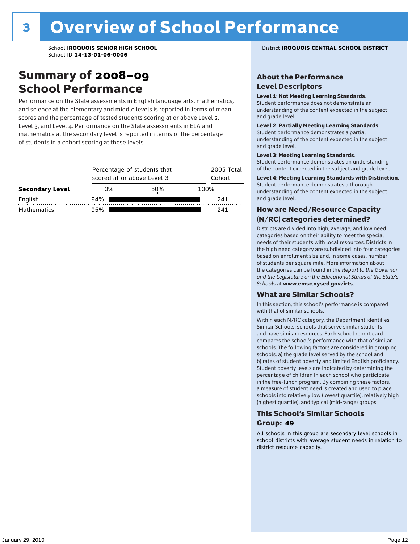### Summary of 2008–09 School Performance

Performance on the State assessments in English language arts, mathematics, and science at the elementary and middle levels is reported in terms of mean scores and the percentage of tested students scoring at or above Level 2, Level 3, and Level 4. Performance on the State assessments in ELA and mathematics at the secondary level is reported in terms of the percentage of students in a cohort scoring at these levels.

| <b>Secondary Level</b> |     | Percentage of students that<br>scored at or above Level 3 |      |  |  |  |  |
|------------------------|-----|-----------------------------------------------------------|------|--|--|--|--|
|                        | 0%  | 50%                                                       | 100% |  |  |  |  |
| English                | 94% |                                                           | 241  |  |  |  |  |
| <b>Mathematics</b>     | 95% |                                                           | 241  |  |  |  |  |

#### School **IROQUOIS SENIOR HIGH SCHOOL** District **IROQUOIS CENTRAL SCHOOL DISTRICT**

#### About the Performance Level Descriptors

#### Level 1: Not Meeting Learning Standards.

Student performance does not demonstrate an understanding of the content expected in the subject and grade level.

#### Level 2: Partially Meeting Learning Standards.

Student performance demonstrates a partial understanding of the content expected in the subject and grade level.

#### Level 3: Meeting Learning Standards.

Student performance demonstrates an understanding of the content expected in the subject and grade level.

#### Level 4: Meeting Learning Standards with Distinction.

Student performance demonstrates a thorough understanding of the content expected in the subject and grade level.

#### How are Need/Resource Capacity (N/RC) categories determined?

Districts are divided into high, average, and low need categories based on their ability to meet the special needs of their students with local resources. Districts in the high need category are subdivided into four categories based on enrollment size and, in some cases, number of students per square mile. More information about the categories can be found in the *Report to the Governor and the Legislature on the Educational Status of the State's Schools* at www.emsc.nysed.gov/irts.

#### What are Similar Schools?

In this section, this school's performance is compared with that of similar schools.

Within each N/RC category, the Department identifies Similar Schools: schools that serve similar students and have similar resources. Each school report card compares the school's performance with that of similar schools. The following factors are considered in grouping schools: a) the grade level served by the school and b) rates of student poverty and limited English proficiency. Student poverty levels are indicated by determining the percentage of children in each school who participate in the free-lunch program. By combining these factors, a measure of student need is created and used to place schools into relatively low (lowest quartile), relatively high (highest quartile), and typical (mid-range) groups.

#### This School's Similar Schools Group: **49**

All schools in this group are secondary level schools in school districts with average student needs in relation to district resource capacity.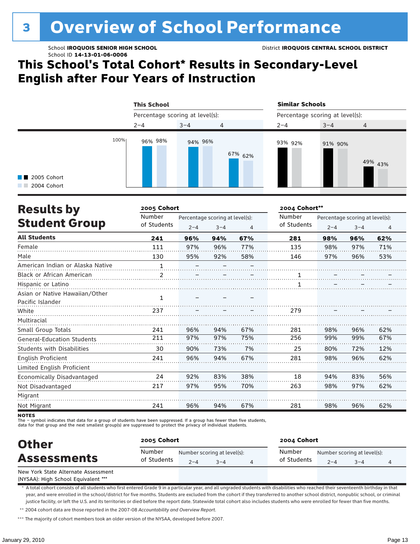# <sup>3</sup> Overview of School Performance

School ID **14-13-01-06-0006**

### **This School's Total Cohort\* Results in Secondary-Level English after Four Years of Instruction**

|                                                   | <b>This School</b>              |         |         | <b>Similar Schools</b>          |         |         |  |
|---------------------------------------------------|---------------------------------|---------|---------|---------------------------------|---------|---------|--|
|                                                   | Percentage scoring at level(s): |         |         | Percentage scoring at level(s): |         |         |  |
|                                                   | $2 - 4$                         | $3 - 4$ | 4       | $2 - 4$                         | $3 - 4$ | 4       |  |
| 100%<br>$\blacksquare$ 2005 Cohort<br>2004 Cohort | 96% 98%                         | 94% 96% | 67% 62% | 93% 92%                         | 91% 90% | 49% 43% |  |

| <b>Results by</b>                 | 2005 Cohort  |                                 |         |     | 2004 Cohort** |         |                                 |     |
|-----------------------------------|--------------|---------------------------------|---------|-----|---------------|---------|---------------------------------|-----|
|                                   | Number       | Percentage scoring at level(s): |         |     | Number        |         | Percentage scoring at level(s): |     |
| <b>Student Group</b>              | of Students  | $2 - 4$                         | $3 - 4$ | 4   | of Students   | $2 - 4$ | $3 - 4$                         | 4   |
| <b>All Students</b>               | 241          | 96%                             | 94%     | 67% | 281           | 98%     | 96%                             | 62% |
| Female                            | 111          | 97%                             | 96%     | 77% | 135           | 98%     | 97%                             | 71% |
| Male                              | 130          | 95%                             | 92%     | 58% | 146           | 97%     | 96%                             | 53% |
| American Indian or Alaska Native  | $\mathbf{1}$ |                                 |         |     |               |         |                                 |     |
| <b>Black or African American</b>  | 2            |                                 |         |     | 1             |         |                                 |     |
| Hispanic or Latino                |              |                                 |         |     |               |         |                                 |     |
| Asian or Native Hawaiian/Other    |              |                                 |         |     |               |         |                                 |     |
| Pacific Islander                  | 1            |                                 |         |     |               |         |                                 |     |
| White                             | 237          |                                 |         |     | 279           |         |                                 |     |
| Multiracial                       |              |                                 |         |     |               |         |                                 |     |
| Small Group Totals                | 241          | 96%                             | 94%     | 67% | 281           | 98%     | 96%                             | 62% |
| <b>General-Education Students</b> | 211          | 97%                             | 97%     | 75% | 256           | 99%     | 99%                             | 67% |
| <b>Students with Disabilities</b> | 30           | 90%                             | 73%     | 7%  | 25            | 80%     | 72%                             | 12% |
| English Proficient                | 241          | 96%                             | 94%     | 67% | 281           | 98%     | 96%                             | 62% |
| Limited English Proficient        |              |                                 |         |     |               |         |                                 |     |
| Economically Disadvantaged        | 24           | 92%                             | 83%     | 38% | 18            | 94%     | 83%                             | 56% |
| Not Disadvantaged                 | 217          | 97%                             | 95%     | 70% | 263           | 98%     | 97%                             | 62% |
| Migrant                           |              |                                 |         |     |               |         |                                 |     |
| Not Migrant                       | 241          | 96%                             | 94%     | 67% | 281           | 98%     | 96%                             | 62% |

**NOTES** 

The – symbol indicates that data for a group of students have been suppressed. If a group has fewer than five students,

data for that group and the next smallest group(s) are suppressed to protect the privacy of individual students.

| <b>Other</b>                        | 2005 Cohort           |         |                                        |  | 2004 Cohort |                                                               |  |  |
|-------------------------------------|-----------------------|---------|----------------------------------------|--|-------------|---------------------------------------------------------------|--|--|
| <b>Assessments</b>                  | Number<br>of Students | $2 - 4$ | Number scoring at level(s):<br>$3 - 4$ |  |             | Number scoring at level(s):<br>of Students<br>$2 - 4$<br>$-4$ |  |  |
| New York State Alternate Assessment |                       |         |                                        |  |             |                                                               |  |  |

(NYSAA): High School Equivalent \*\*\*

\* A total cohort consists of all students who first entered Grade 9 in a particular year, and all ungraded students with disabilities who reached their seventeenth birthday in that year, and were enrolled in the school/district for five months. Students are excluded from the cohort if they transferred to another school district, nonpublic school, or criminal justice facility, or left the U.S. and its territories or died before the report date. Statewide total cohort also includes students who were enrolled for fewer than five months.

\*\* 2004 cohort data are those reported in the 2007-08 *Accountability and Overview Report*.

\*\*\* The majority of cohort members took an older version of the NYSAA, developed before 2007.